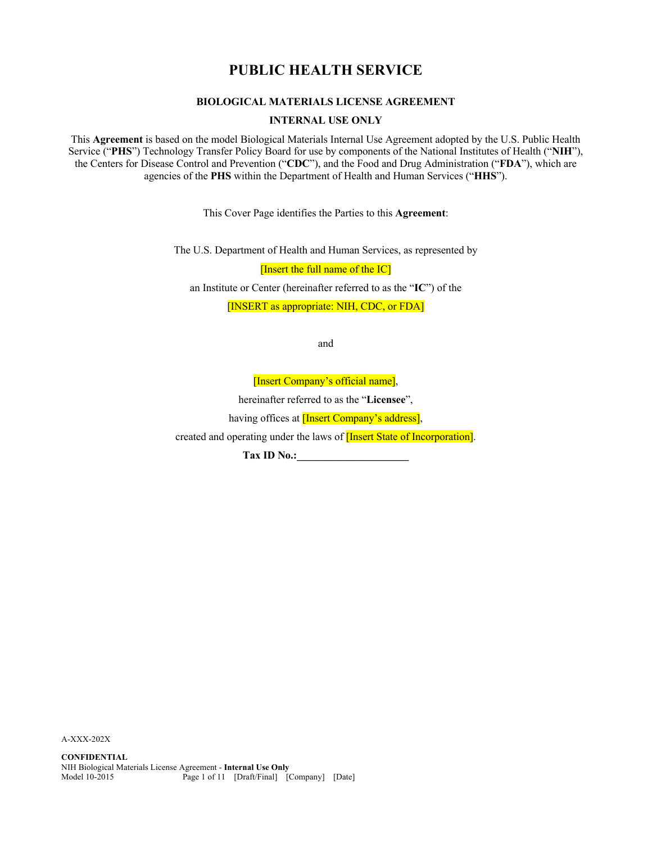# **PUBLIC HEALTH SERVICE**

# **BIOLOGICAL MATERIALS LICENSE AGREEMENT**

**INTERNAL USE ONLY**

This **Agreement** is based on the model Biological Materials Internal Use Agreement adopted by the U.S. Public Health Service ("**PHS**") Technology Transfer Policy Board for use by components of the National Institutes of Health ("**NIH**"), the Centers for Disease Control and Prevention ("**CDC**"), and the Food and Drug Administration ("**FDA**"), which are agencies of the **PHS** within the Department of Health and Human Services ("**HHS**").

This Cover Page identifies the Parties to this **Agreement**:

The U.S. Department of Health and Human Services, as represented by

[Insert the full name of the IC]

an Institute or Center (hereinafter referred to as the "**IC**") of the

[INSERT as appropriate: NIH, CDC, or FDA]

and

[Insert Company's official name],

hereinafter referred to as the "**Licensee**",

having offices at **[Insert Company's address]**,

created and operating under the laws of **[Insert State of Incorporation]**.

**Tax ID No.:\_\_\_\_\_\_\_\_\_\_\_\_\_\_\_\_\_\_\_\_\_**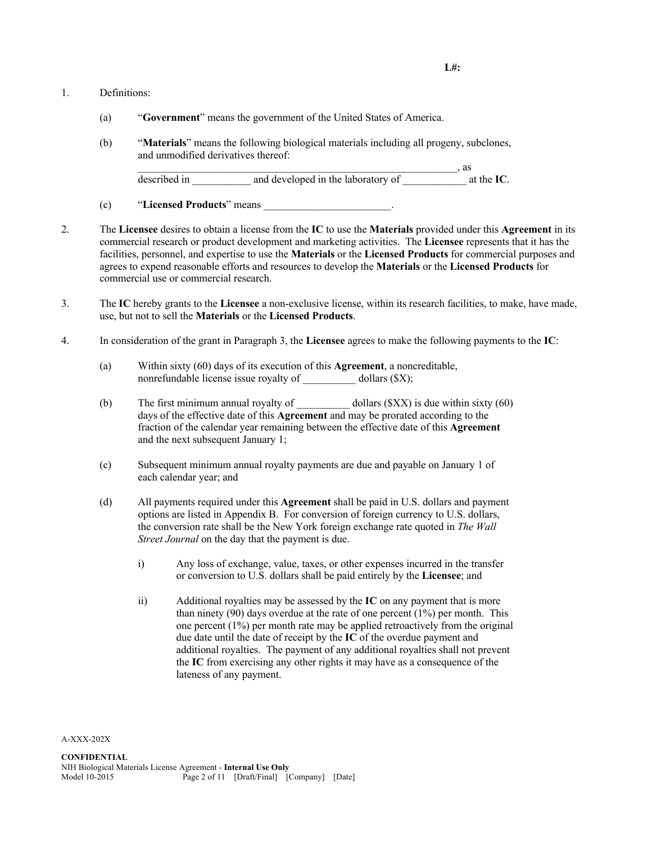#### 1. Definitions:

- (a) "**Government**" means the government of the United States of America.
- (b) "**Materials**" means the following biological materials including all progeny, subclones, and unmodified derivatives thereof:

|              |                                    | as                 |
|--------------|------------------------------------|--------------------|
| described in | and developed in the laboratory of | at the <b>IC</b> . |

(c) "**Licensed Products**" means \_\_\_\_\_\_\_\_\_\_\_\_\_\_\_\_\_\_\_\_\_\_\_\_.

- 2. The **Licensee** desires to obtain a license from the **IC** to use the **Materials** provided under this **Agreement** in its commercial research or product development and marketing activities. The **Licensee** represents that it has the facilities, personnel, and expertise to use the **Materials** or the **Licensed Products** for commercial purposes and agrees to expend reasonable efforts and resources to develop the **Materials** or the **Licensed Products** for commercial use or commercial research.
- 3. The **IC** hereby grants to the **Licensee** a non-exclusive license, within its research facilities, to make, have made, use, but not to sell the **Materials** or the **Licensed Products**.
- 4. In consideration of the grant in Paragraph 3, the **Licensee** agrees to make the following payments to the **IC**:
	- (a) Within sixty (60) days of its execution of this **Agreement**, a noncreditable, nonrefundable license issue royalty of dollars (\$X);
	- (b) The first minimum annual royalty of  $\qquad \qquad$  dollars (\$XX) is due within sixty (60) days of the effective date of this **Agreement** and may be prorated according to the fraction of the calendar year remaining between the effective date of this **Agreement** and the next subsequent January 1;
	- (c) Subsequent minimum annual royalty payments are due and payable on January 1 of each calendar year; and
	- (d) All payments required under this **Agreement** shall be paid in U.S. dollars and payment options are listed in Appendix B. For conversion of foreign currency to U.S. dollars, the conversion rate shall be the New York foreign exchange rate quoted in *The Wall Street Journal* on the day that the payment is due.
		- i) Any loss of exchange, value, taxes, or other expenses incurred in the transfer or conversion to U.S. dollars shall be paid entirely by the **Licensee**; and
		- ii) Additional royalties may be assessed by the **IC** on any payment that is more than ninety (90) days overdue at the rate of one percent  $(1\%)$  per month. This one percent (1%) per month rate may be applied retroactively from the original due date until the date of receipt by the **IC** of the overdue payment and additional royalties. The payment of any additional royalties shall not prevent the **IC** from exercising any other rights it may have as a consequence of the lateness of any payment.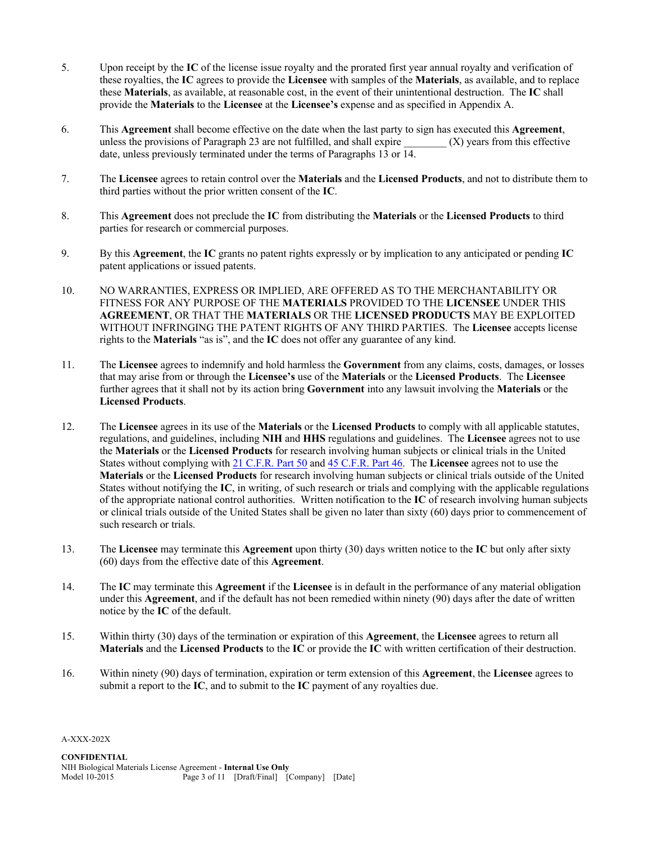- 5. Upon receipt by the **IC** of the license issue royalty and the prorated first year annual royalty and verification of these royalties, the **IC** agrees to provide the **Licensee** with samples of the **Materials**, as available, and to replace these **Materials**, as available, at reasonable cost, in the event of their unintentional destruction. The **IC** shall provide the **Materials** to the **Licensee** at the **Licensee's** expense and as specified in Appendix A.
- 6. This **Agreement** shall become effective on the date when the last party to sign has executed this **Agreement**, unless the provisions of Paragraph 23 are not fulfilled, and shall expire  $(X)$  years from this effective date, unless previously terminated under the terms of Paragraphs 13 or 14.
- 7. The **Licensee** agrees to retain control over the **Materials** and the **Licensed Products**, and not to distribute them to third parties without the prior written consent of the **IC**.
- 8. This **Agreement** does not preclude the **IC** from distributing the **Materials** or the **Licensed Products** to third parties for research or commercial purposes.
- 9. By this **Agreement**, the **IC** grants no patent rights expressly or by implication to any anticipated or pending **IC** patent applications or issued patents.
- 10. NO WARRANTIES, EXPRESS OR IMPLIED, ARE OFFERED AS TO THE MERCHANTABILITY OR FITNESS FOR ANY PURPOSE OF THE **MATERIALS** PROVIDED TO THE **LICENSEE** UNDER THIS **AGREEMENT**, OR THAT THE **MATERIALS** OR THE **LICENSED PRODUCTS** MAY BE EXPLOITED WITHOUT INFRINGING THE PATENT RIGHTS OF ANY THIRD PARTIES. The **Licensee** accepts license rights to the **Materials** "as is", and the **IC** does not offer any guarantee of any kind.
- 11. The **Licensee** agrees to indemnify and hold harmless the **Government** from any claims, costs, damages, or losses that may arise from or through the **Licensee's** use of the **Materials** or the **Licensed Products**. The **Licensee** further agrees that it shall not by its action bring **Government** into any lawsuit involving the **Materials** or the **Licensed Products**.
- 12. The **Licensee** agrees in its use of the **Materials** or the **Licensed Products** to comply with all applicable statutes, regulations, and guidelines, including **NIH** and **HHS** regulations and guidelines. The **Licensee** agrees not to use the **Materials** or the **Licensed Products** for research involving human subjects or clinical trials in the United States without complying with 21 C.F.R. Part 50 and 45 C.F.R. Part 46. The **Licensee** agrees not to use the **Materials** or the **Licensed Products** for research involving human subjects or clinical trials outside of the United States without notifying the **IC**, in writing, of such research or trials and complying with the applicable regulations of the appropriate national control authorities. Written notification to the **IC** of research involving human subjects or clinical trials outside of the United States shall be given no later than sixty (60) days prior to commencement of such research or trials.
- 13. The **Licensee** may terminate this **Agreement** upon thirty (30) days written notice to the **IC** but only after sixty (60) days from the effective date of this **Agreement**.
- 14. The **IC** may terminate this **Agreement** if the **Licensee** is in default in the performance of any material obligation under this **Agreement**, and if the default has not been remedied within ninety (90) days after the date of written notice by the **IC** of the default.
- 15. Within thirty (30) days of the termination or expiration of this **Agreement**, the **Licensee** agrees to return all **Materials** and the **Licensed Products** to the **IC** or provide the **IC** with written certification of their destruction.
- 16. Within ninety (90) days of termination, expiration or term extension of this **Agreement**, the **Licensee** agrees to submit a report to the **IC**, and to submit to the **IC** payment of any royalties due.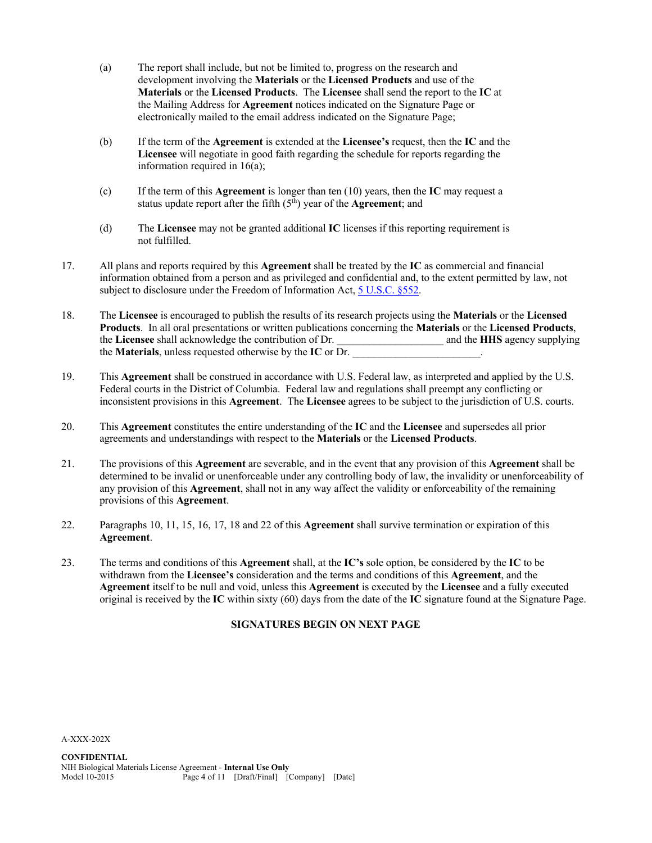- (a) The report shall include, but not be limited to, progress on the research and development involving the **Materials** or the **Licensed Products** and use of the **Materials** or the **Licensed Products**. The **Licensee** shall send the report to the **IC** at the Mailing Address for **Agreement** notices indicated on the Signature Page or electronically mailed to the email address indicated on the Signature Page;
- (b) If the term of the **Agreement** is extended at the **Licensee's** request, then the **IC** and the **Licensee** will negotiate in good faith regarding the schedule for reports regarding the information required in 16(a);
- (c) If the term of this **Agreement** is longer than ten (10) years, then the **IC** may request a status update report after the fifth (5<sup>th</sup>) year of the **Agreement**; and
- (d) The **Licensee** may not be granted additional **IC** licenses if this reporting requirement is not fulfilled.
- 17. All plans and reports required by this **Agreement** shall be treated by the **IC** as commercial and financial information obtained from a person and as privileged and confidential and, to the extent permitted by law, not subject to disclosure under the Freedom of Information Act, 5 U.S.C. §552.
- 18. The **Licensee** is encouraged to publish the results of its research projects using the **Materials** or the **Licensed Products**. In all oral presentations or written publications concerning the **Materials** or the **Licensed Products**, the **Licensee** shall acknowledge the contribution of Dr.  $\qquad \qquad$  and the **HHS** agency supplying the **Materials**, unless requested otherwise by the IC or Dr.
- 19. This **Agreement** shall be construed in accordance with U.S. Federal law, as interpreted and applied by the U.S. Federal courts in the District of Columbia. Federal law and regulations shall preempt any conflicting or inconsistent provisions in this **Agreement**. The **Licensee** agrees to be subject to the jurisdiction of U.S. courts.
- 20. This **Agreement** constitutes the entire understanding of the **IC** and the **Licensee** and supersedes all prior agreements and understandings with respect to the **Materials** or the **Licensed Products**.
- 21. The provisions of this **Agreement** are severable, and in the event that any provision of this **Agreement** shall be determined to be invalid or unenforceable under any controlling body of law, the invalidity or unenforceability of any provision of this **Agreement**, shall not in any way affect the validity or enforceability of the remaining provisions of this **Agreement**.
- 22. Paragraphs 10, 11, 15, 16, 17, 18 and 22 of this **Agreement** shall survive termination or expiration of this **Agreement**.
- 23. The terms and conditions of this **Agreement** shall, at the **IC's** sole option, be considered by the **IC** to be withdrawn from the **Licensee's** consideration and the terms and conditions of this **Agreement**, and the **Agreement** itself to be null and void, unless this **Agreement** is executed by the **Licensee** and a fully executed original is received by the **IC** within sixty (60) days from the date of the **IC** signature found at the Signature Page.

# **SIGNATURES BEGIN ON NEXT PAGE**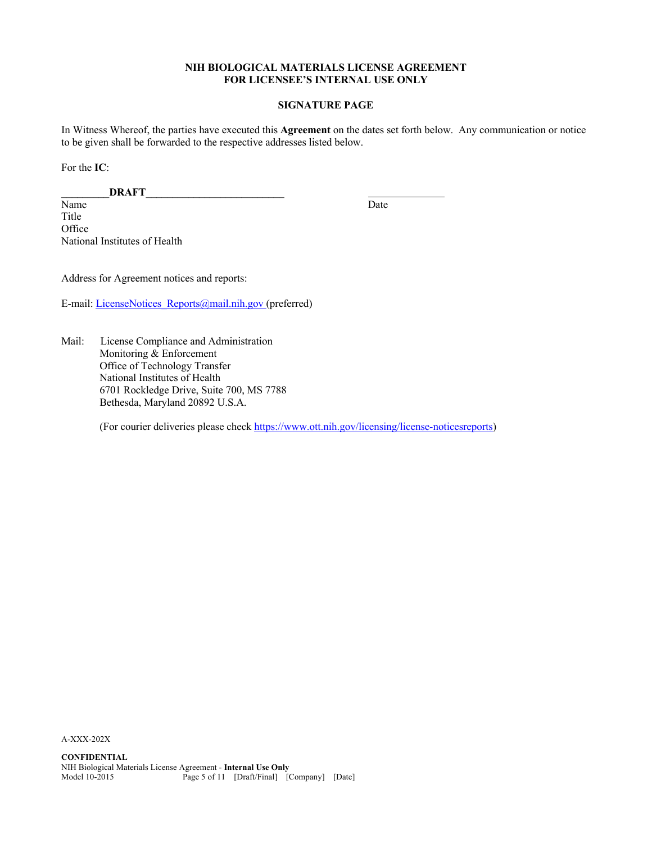## **NIH BIOLOGICAL MATERIALS LICENSE AGREEMENT FOR LICENSEE'S INTERNAL USE ONLY**

# **SIGNATURE PAGE**

In Witness Whereof, the parties have executed this **Agreement** on the dates set forth below. Any communication or notice to be given shall be forwarded to the respective addresses listed below.

For the **IC**:

\_\_\_\_\_\_\_\_\_**DRAFT**\_\_\_\_\_\_\_\_\_\_\_\_\_\_\_\_\_\_\_\_\_\_\_\_\_\_

Name Date Title **Office** National Institutes of Health

Address for Agreement notices and reports:

E-mail: LicenseNotices\_Reports@mail.nih.gov (preferred)

Mail: License Compliance and Administration Monitoring & Enforcement Office of Technology Transfer National Institutes of Health 6701 Rockledge Drive, Suite 700, MS 7788 Bethesda, Maryland 20892 U.S.A.

(For courier deliveries please check https://www.ott.nih.gov/licensing/license-noticesreports)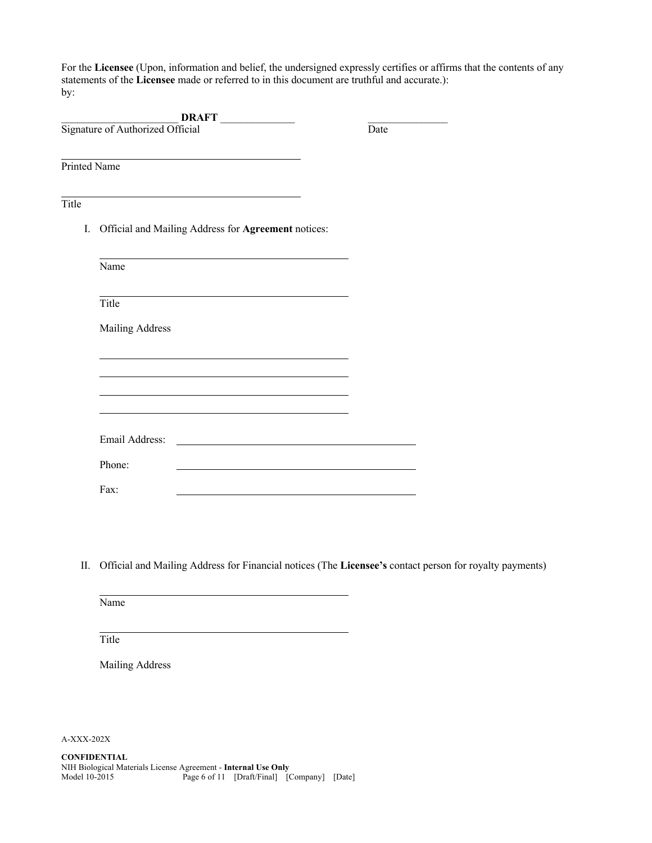For the **Licensee** (Upon, information and belief, the undersigned expressly certifies or affirms that the contents of any statements of the **Licensee** made or referred to in this document are truthful and accurate.): by:

|              | DRAFT                                                                                                                           |      |
|--------------|---------------------------------------------------------------------------------------------------------------------------------|------|
|              | Signature of Authorized Official                                                                                                | Date |
|              |                                                                                                                                 |      |
| Printed Name |                                                                                                                                 |      |
|              |                                                                                                                                 |      |
| Title        |                                                                                                                                 |      |
| I.           | Official and Mailing Address for Agreement notices:                                                                             |      |
|              | the control of the control of the control of the control of the control of the control of the control of the control of<br>Name |      |
|              | Title                                                                                                                           |      |
|              | Mailing Address                                                                                                                 |      |
|              |                                                                                                                                 |      |
|              |                                                                                                                                 |      |
|              | Email Address:                                                                                                                  |      |
|              | <u> 1980 - Johann Stoff, deutscher Stoffen und der Stoffen und der Stoffen und der Stoffen und der Stoffen und der</u>          |      |
|              | Phone:                                                                                                                          |      |
|              | Fax:                                                                                                                            |      |

II. Official and Mailing Address for Financial notices (The **Licensee's** contact person for royalty payments)

Name

Title

Mailing Address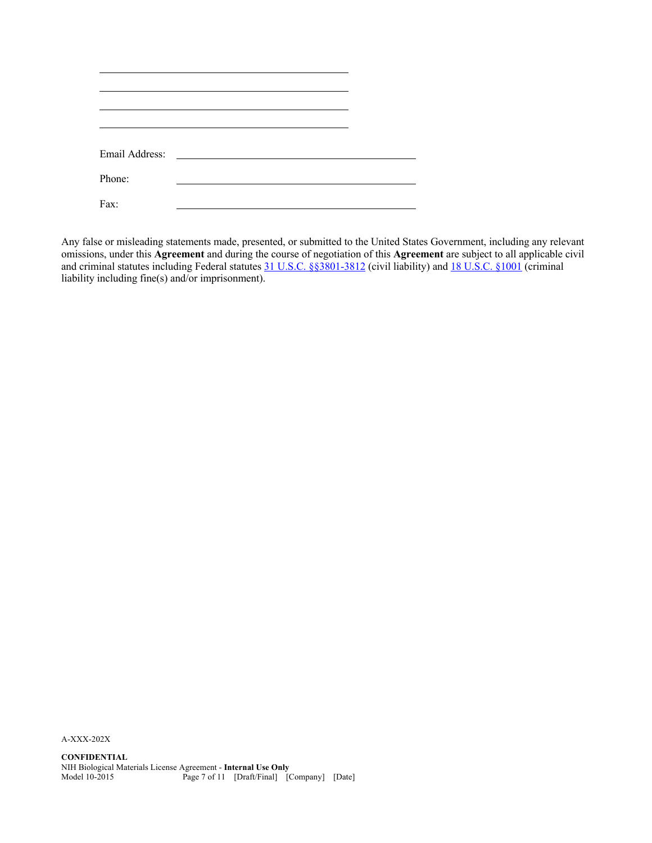| Email Address: | <u> 1989 - Jan Barbara III, prima posta</u> |  |  |
|----------------|---------------------------------------------|--|--|
| Phone:         |                                             |  |  |
|                |                                             |  |  |
| Fax:           |                                             |  |  |

Any false or misleading statements made, presented, or submitted to the United States Government, including any relevant omissions, under this **Agreement** and during the course of negotiation of this **Agreement** are subject to all applicable civil and criminal statutes including Federal statutes 31 U.S.C. §§3801-3812 (civil liability) and 18 U.S.C. §1001 (criminal liability including fine(s) and/or imprisonment).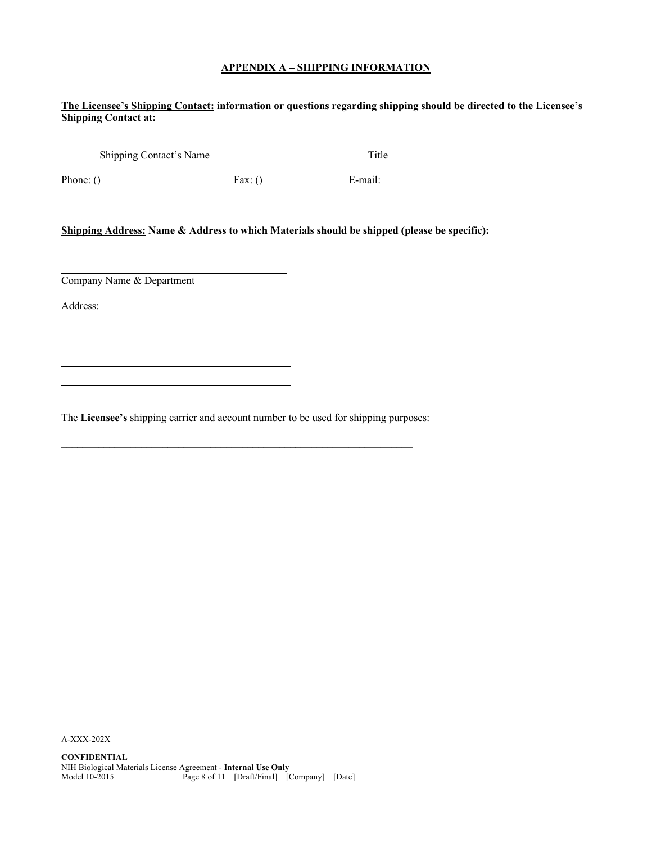# **APPENDIX A – SHIPPING INFORMATION**

**The Licensee's Shipping Contact: information or questions regarding shipping should be directed to the Licensee's Shipping Contact at:**

| Shipping Contact's Name |      | Title   |  |
|-------------------------|------|---------|--|
| Phone: $()$             | Fax: | E-mail: |  |

**Shipping Address: Name & Address to which Materials should be shipped (please be specific):**

Company Name & Department

Address:

The **Licensee's** shipping carrier and account number to be used for shipping purposes: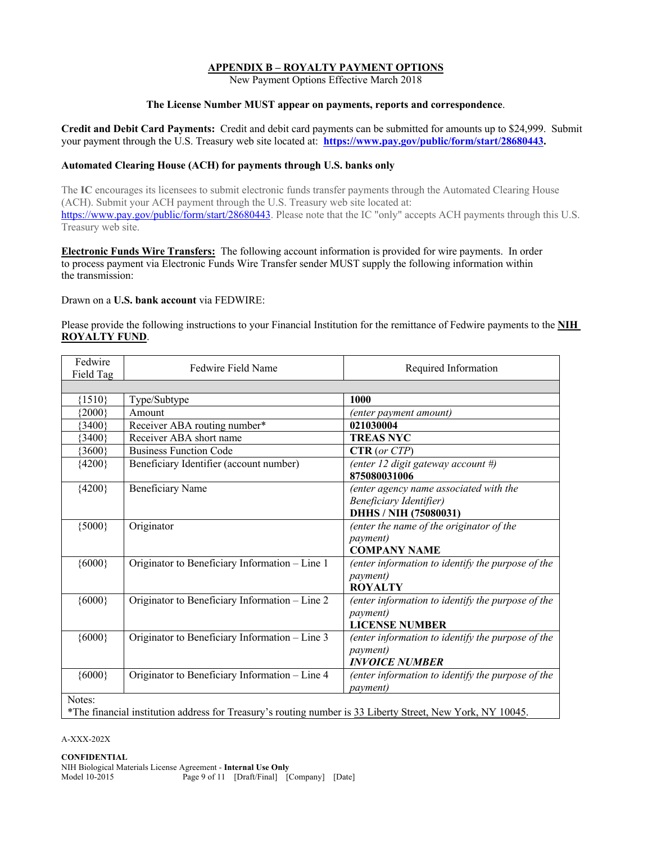# **APPENDIX B – ROYALTY PAYMENT OPTIONS**

New Payment Options Effective March 2018

## **The License Number MUST appear on payments, reports and correspondence**.

**Credit and Debit Card Payments:** Credit and debit card payments can be submitted for amounts up to \$24,999. Submit your payment through the U.S. Treasury web site located at: **https://www.pay.gov/public/form/start/28680443.**

## **Automated Clearing House (ACH) for payments through U.S. banks only**

The **IC** encourages its licensees to submit electronic funds transfer payments through the Automated Clearing House (ACH). Submit your ACH payment through the U.S. Treasury web site located at: https://www.pay.gov/public/form/start/28680443. Please note that the IC "only" accepts ACH payments through this U.S. Treasury web site.

**Electronic Funds Wire Transfers:** The following account information is provided for wire payments. In order to process payment via Electronic Funds Wire Transfer sender MUST supply the following information within the transmission:

Drawn on a **U.S. bank account** via FEDWIRE:

Please provide the following instructions to your Financial Institution for the remittance of Fedwire payments to the **NIH ROYALTY FUND**.

| Fedwire<br>Field Tag                                                                                       | Fedwire Field Name                             | Required Information                              |  |
|------------------------------------------------------------------------------------------------------------|------------------------------------------------|---------------------------------------------------|--|
|                                                                                                            |                                                |                                                   |  |
| ${1510}$                                                                                                   | Type/Subtype                                   | 1000                                              |  |
| ${2000}$                                                                                                   | Amount                                         | (enter payment amount)                            |  |
| ${3400}$                                                                                                   | Receiver ABA routing number*                   | 021030004                                         |  |
| ${3400}$                                                                                                   | Receiver ABA short name                        | <b>TREAS NYC</b>                                  |  |
| ${3600}$                                                                                                   | <b>Business Function Code</b>                  | CTR (or CTP)                                      |  |
| ${4200}$                                                                                                   | Beneficiary Identifier (account number)        | (enter 12 digit gateway account #)                |  |
|                                                                                                            |                                                | 875080031006                                      |  |
| ${4200}$                                                                                                   | <b>Beneficiary Name</b>                        | (enter agency name associated with the            |  |
|                                                                                                            |                                                | Beneficiary Identifier)                           |  |
|                                                                                                            |                                                | DHHS / NIH (75080031)                             |  |
| ${5000}$                                                                                                   | Originator                                     | (enter the name of the originator of the          |  |
|                                                                                                            |                                                | <i>payment</i> )                                  |  |
|                                                                                                            |                                                | <b>COMPANY NAME</b>                               |  |
| ${6000}$                                                                                                   | Originator to Beneficiary Information - Line 1 | (enter information to identify the purpose of the |  |
|                                                                                                            |                                                | <i>payment</i> )                                  |  |
|                                                                                                            |                                                | <b>ROYALTY</b>                                    |  |
| ${6000}$                                                                                                   | Originator to Beneficiary Information - Line 2 | (enter information to identify the purpose of the |  |
|                                                                                                            |                                                | <i>payment</i> )                                  |  |
|                                                                                                            |                                                | <b>LICENSE NUMBER</b>                             |  |
| ${6000}$                                                                                                   | Originator to Beneficiary Information - Line 3 | (enter information to identify the purpose of the |  |
|                                                                                                            |                                                | <i>payment</i> )                                  |  |
|                                                                                                            |                                                | <b>INVOICE NUMBER</b>                             |  |
| ${6000}$                                                                                                   | Originator to Beneficiary Information - Line 4 | (enter information to identify the purpose of the |  |
|                                                                                                            |                                                | <i>payment</i> )                                  |  |
| Notes:                                                                                                     |                                                |                                                   |  |
| *The financial institution address for Treasury's routing number is 33 Liberty Street, New York, NY 10045. |                                                |                                                   |  |

A-XXX-202X

#### **CONFIDENTIAL**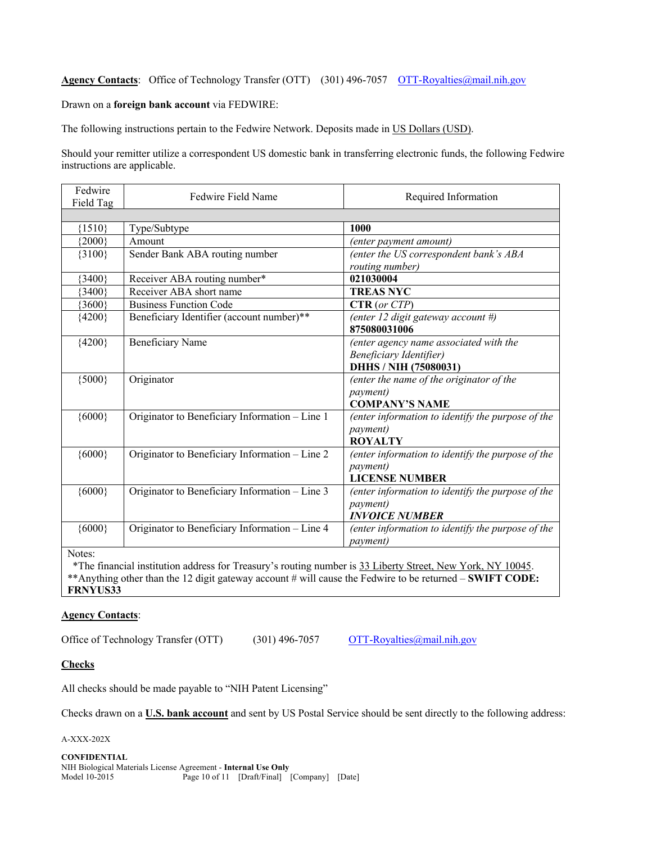# **Agency Contacts**: Office of Technology Transfer (OTT) (301) 496-7057 OTT-Royalties@mail.nih.gov

#### Drawn on a **foreign bank account** via FEDWIRE:

The following instructions pertain to the Fedwire Network. Deposits made in US Dollars (USD).

Should your remitter utilize a correspondent US domestic bank in transferring electronic funds, the following Fedwire instructions are applicable.

| Fedwire<br>Field Tag | Fedwire Field Name                                                                                         | Required Information                              |
|----------------------|------------------------------------------------------------------------------------------------------------|---------------------------------------------------|
|                      |                                                                                                            |                                                   |
| ${1510}$             | Type/Subtype                                                                                               | 1000                                              |
| ${2000}$             | Amount                                                                                                     | (enter payment amount)                            |
| ${3100}$             | Sender Bank ABA routing number                                                                             | (enter the US correspondent bank's ABA            |
|                      |                                                                                                            | routing number)                                   |
| ${3400}$             | Receiver ABA routing number*                                                                               | 021030004                                         |
| ${3400}$             | Receiver ABA short name                                                                                    | <b>TREAS NYC</b>                                  |
| ${3600}$             | <b>Business Function Code</b>                                                                              | CTR (or CTP)                                      |
| ${4200}$             | Beneficiary Identifier (account number)**                                                                  | (enter 12 digit gateway account #)                |
|                      |                                                                                                            | 875080031006                                      |
| ${4200}$             | <b>Beneficiary Name</b>                                                                                    | (enter agency name associated with the            |
|                      |                                                                                                            | <b>Beneficiary Identifier)</b>                    |
|                      |                                                                                                            | DHHS / NIH (75080031)                             |
| ${5000}$             | Originator                                                                                                 | (enter the name of the originator of the          |
|                      |                                                                                                            | <i>payment</i> )                                  |
|                      |                                                                                                            | <b>COMPANY'S NAME</b>                             |
| ${6000}$             | Originator to Beneficiary Information - Line 1                                                             | (enter information to identify the purpose of the |
|                      |                                                                                                            | <i>payment</i> )                                  |
|                      |                                                                                                            | <b>ROYALTY</b>                                    |
| ${6000}$             | Originator to Beneficiary Information - Line 2                                                             | (enter information to identify the purpose of the |
|                      |                                                                                                            | <i>payment</i> )                                  |
|                      |                                                                                                            | <b>LICENSE NUMBER</b>                             |
| ${6000}$             | Originator to Beneficiary Information - Line 3                                                             | (enter information to identify the purpose of the |
|                      |                                                                                                            | <i>payment</i> )                                  |
|                      |                                                                                                            | <b>INVOICE NUMBER</b>                             |
| ${6000}$             | Originator to Beneficiary Information - Line 4                                                             | (enter information to identify the purpose of the |
|                      |                                                                                                            | <i>payment</i> )                                  |
| Notes:               |                                                                                                            |                                                   |
|                      | *The financial institution address for Treasury's routing number is 33 I iberty Street, New Vork, NV 10045 |                                                   |

institution address for Treasury's routing number is 35 \*\*Anything other than the 12 digit gateway account # will cause the Fedwire to be returned – **SWIFT CODE: FRNYUS33**

## **Agency Contacts**:

Office of Technology Transfer (OTT) (301) 496-7057 OTT-Royalties@mail.nih.gov

#### **Checks**

All checks should be made payable to "NIH Patent Licensing"

Checks drawn on a **U.S. bank account** and sent by US Postal Service should be sent directly to the following address:

A-XXX-202X

**CONFIDENTIAL** NIH Biological Materials License Agreement - **Internal Use Only** Model 10-2015 Page 10 of 11 [Draft/Final] [Company] [Date]